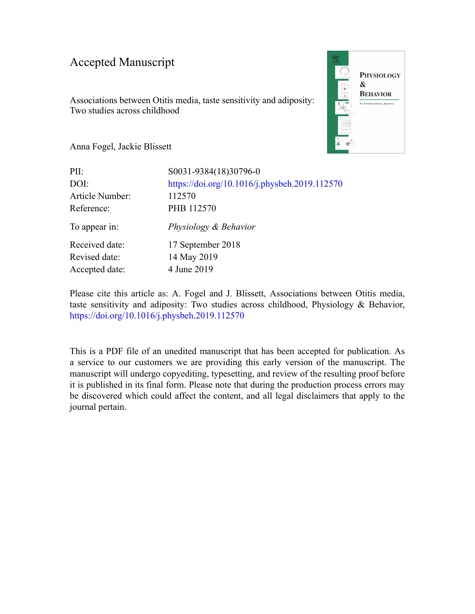### Accepted Manuscript

Associations between Otitis media, taste sensitivity and adiposity: Two studies across childhood



Anna Fogel, Jackie Blissett

| PII:                                              | S0031-9384(18)30796-0                                   |
|---------------------------------------------------|---------------------------------------------------------|
| DOI:<br>Article Number:                           | https://doi.org/10.1016/j.physbeh.2019.112570<br>112570 |
| Reference:                                        | PHB 112570                                              |
| To appear in:                                     | Physiology & Behavior                                   |
| Received date:<br>Revised date:<br>Accepted date: | 17 September 2018<br>14 May 2019<br>4 June 2019         |

Please cite this article as: A. Fogel and J. Blissett, Associations between Otitis media, taste sensitivity and adiposity: Two studies across childhood, Physiology & Behavior, <https://doi.org/10.1016/j.physbeh.2019.112570>

This is a PDF file of an unedited manuscript that has been accepted for publication. As a service to our customers we are providing this early version of the manuscript. The manuscript will undergo copyediting, typesetting, and review of the resulting proof before it is published in its final form. Please note that during the production process errors may be discovered which could affect the content, and all legal disclaimers that apply to the journal pertain.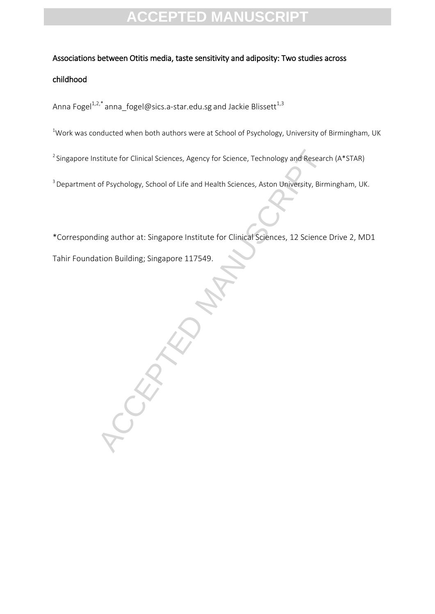### Associations between Otitis media, taste sensitivity and adiposity: Two studies across

### childhood

Anna Fogel $^{1,2,*}$ [anna\\_fogel@sics.a-star.edu.sg](mailto:anna_fogel@sics.a-star.edu.sg) and Jackie Blissett $^{1,3}$ 

<sup>1</sup>Work was conducted when both authors were at School of Psychology, University of Birmingham, UK

<sup>2</sup> Singapore Institute for Clinical Sciences, Agency for Science, Technology and Research (A\*STAR)

<sup>3</sup> Department of Psychology, School of Life and Health Sciences, Aston University, Birmingham, UK.

\*Corresponding author at: Singapore Institute for Clinical Sciences, 12 Science Drive 2, MD1

Tahir Foundation Building; Singapore 117549.

ACCEPTED MANUSCRIPT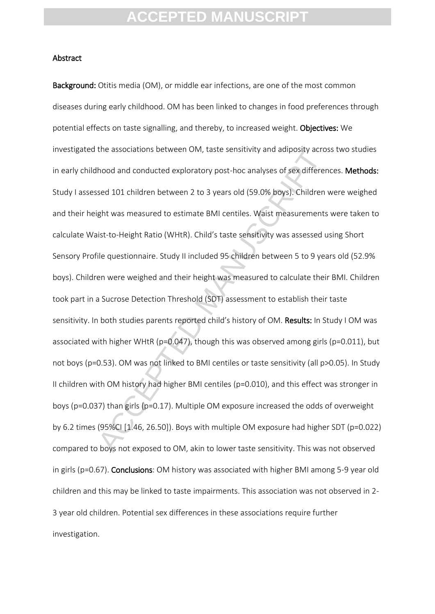#### Abstract

the associations between UM, taste sensitivity and adiposity across<br>hood and conducted exploratory post-hoc analyses of sex different<br>sed 101 children between 2 to 3 years old (59.0% boys). Children is<br>ght was measured to Background: Otitis media (OM), or middle ear infections, are one of the most common diseases during early childhood. OM has been linked to changes in food preferences through potential effects on taste signalling, and thereby, to increased weight. Objectives: We investigated the associations between OM, taste sensitivity and adiposity across two studies in early childhood and conducted exploratory post-hoc analyses of sex differences. Methods: Study I assessed 101 children between 2 to 3 years old (59.0% boys). Children were weighed and their height was measured to estimate BMI centiles. Waist measurements were taken to calculate Waist-to-Height Ratio (WHtR). Child's taste sensitivity was assessed using Short Sensory Profile questionnaire. Study II included 95 children between 5 to 9 years old (52.9% boys). Children were weighed and their height was measured to calculate their BMI. Children took part in a Sucrose Detection Threshold (SDT) assessment to establish their taste sensitivity. In both studies parents reported child's history of OM. Results: In Study I OM was associated with higher WHtR (p=0.047), though this was observed among girls (p=0.011), but not boys (p=0.53). OM was not linked to BMI centiles or taste sensitivity (all p>0.05). In Study II children with OM history had higher BMI centiles (p=0.010), and this effect was stronger in boys (p=0.037) than girls (p=0.17). Multiple OM exposure increased the odds of overweight by 6.2 times (95%CI [1.46, 26.50]). Boys with multiple OM exposure had higher SDT (p=0.022) compared to boys not exposed to OM, akin to lower taste sensitivity. This was not observed in girls (p=0.67). Conclusions: OM history was associated with higher BMI among 5-9 year old children and this may be linked to taste impairments. This association was not observed in 2- 3 year old children. Potential sex differences in these associations require further investigation.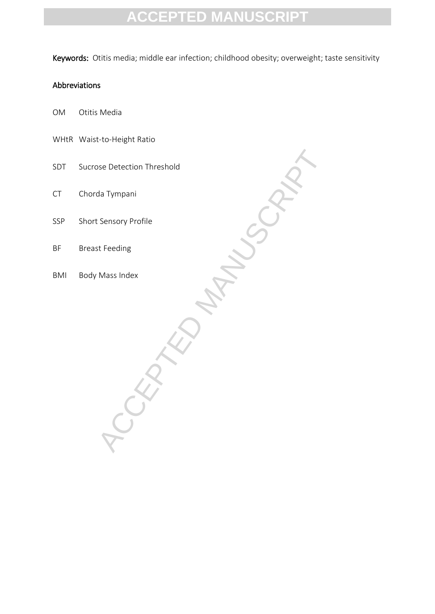Keywords: Otitis media; middle ear infection; childhood obesity; overweight; taste sensitivity

### Abbreviations

- OM Otitis Media
- WHtR Waist-to-Height Ratio
- SDT Sucrose Detection Threshold
- CT Chorda Tympani
- -URAKOMANUSCA, SSP Short Sensory Profile
- BF Breast Feeding
- BMI Body Mass Index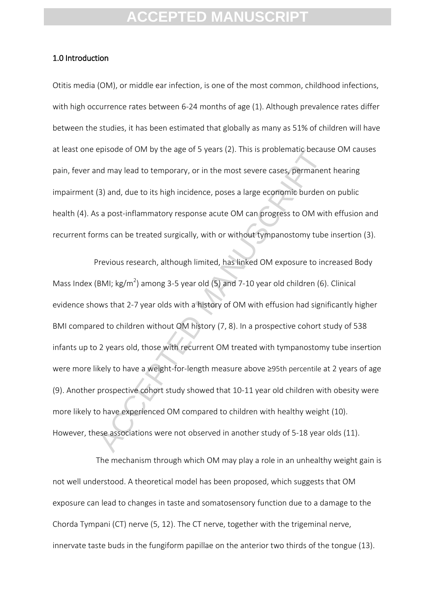#### 1.0 Introduction

Otitis media (OM), or middle ear infection, is one of the most common, childhood infections, with high occurrence rates between 6-24 months of age (1). Although prevalence rates differ between the studies, it has been estimated that globally as many as 51% of children will have at least one episode of OM by the age of 5 years (2). This is problematic because OM causes pain, fever and may lead to temporary, or in the most severe cases, permanent hearing impairment (3) and, due to its high incidence, poses a large economic burden on public health (4). As a post-inflammatory response acute OM can progress to OM with effusion and recurrent forms can be treated surgically, with or without tympanostomy tube insertion (3).

episode or OMI by the age or 5 years (2). This is problematic because<br>and may lead to temporary, or in the most severe cases, permanen<br>(3) and, due to its high incidence, poses a large economic burden is<br>a post-inflammator Previous research, although limited, has linked OM exposure to increased Body Mass Index (BMI; kg/m<sup>2</sup>) among 3-5 year old (5) and 7-10 year old children (6). Clinical evidence shows that 2-7 year olds with a history of OM with effusion had significantly higher BMI compared to children without OM history (7, 8). In a prospective cohort study of 538 infants up to 2 years old, those with recurrent OM treated with tympanostomy tube insertion were more likely to have a weight-for-length measure above ≥95th percentile at 2 years of age (9). Another prospective cohort study showed that 10-11 year old children with obesity were more likely to have experienced OM compared to children with healthy weight (10). However, these associations were not observed in another study of 5-18 year olds (11).

The mechanism through which OM may play a role in an unhealthy weight gain is not well understood. A theoretical model has been proposed, which suggests that OM exposure can lead to changes in taste and somatosensory function due to a damage to the Chorda Tympani (CT) nerve (5, 12). The CT nerve, together with the trigeminal nerve, innervate taste buds in the fungiform papillae on the anterior two thirds of the tongue (13).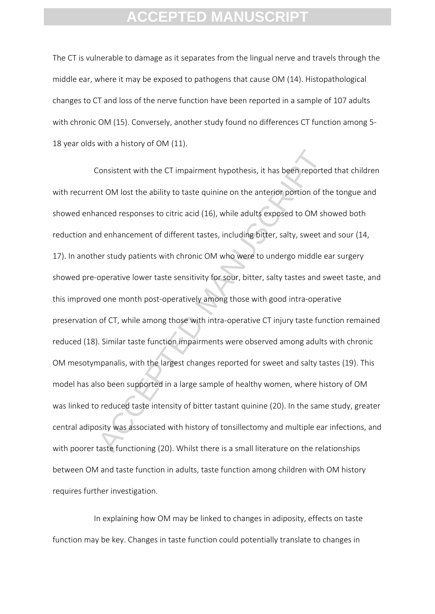The CT is vulnerable to damage as it separates from the lingual nerve and travels through the middle ear, where it may be exposed to pathogens that cause OM (14). Histopathological changes to CT and loss of the nerve function have been reported in a sample of 107 adults with chronic OM (15). Conversely, another study found no differences CT function among 5- 18 year olds with a history of OM (11).

Consistent with the CT impairment hypothesis, it has been reportent OM lost the ability to taste quinine on the anterior portion of th<br>anced responses to citric acid (16), while adults exposed to OM sh<br>d enhancement of dif Consistent with the CT impairment hypothesis, it has been reported that children with recurrent OM lost the ability to taste quinine on the anterior portion of the tongue and showed enhanced responses to citric acid (16), while adults exposed to OM showed both reduction and enhancement of different tastes, including bitter, salty, sweet and sour (14, 17). In another study patients with chronic OM who were to undergo middle ear surgery showed pre-operative lower taste sensitivity for sour, bitter, salty tastes and sweet taste, and this improved one month post-operatively among those with good intra-operative preservation of CT, while among those with intra-operative CT injury taste function remained reduced (18). Similar taste function impairments were observed among adults with chronic OM mesotympanalis, with the largest changes reported for sweet and salty tastes (19). This model has also been supported in a large sample of healthy women, where history of OM was linked to reduced taste intensity of bitter tastant quinine (20). In the same study, greater central adiposity was associated with history of tonsillectomy and multiple ear infections, and with poorer taste functioning (20). Whilst there is a small literature on the relationships between OM and taste function in adults, taste function among children with OM history requires further investigation.

In explaining how OM may be linked to changes in adiposity, effects on taste function may be key. Changes in taste function could potentially translate to changes in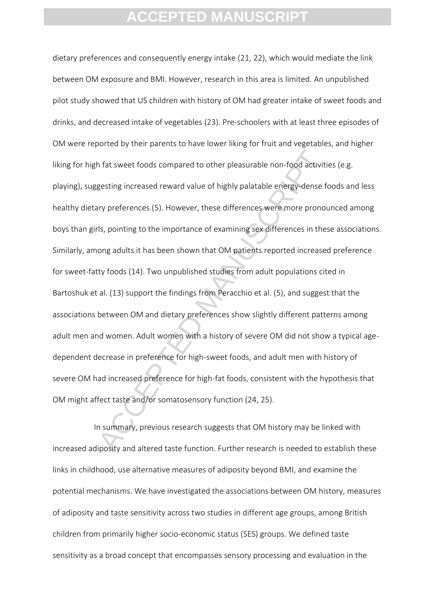In that sweet foods compared to other pleasurable non-food activiting<br>esting increased reward value of highly palatable energy-dense for<br>ty preferences (5). However, these differences were more pronously<br>spontring to the i dietary preferences and consequently energy intake (21, 22), which would mediate the link between OM exposure and BMI. However, research in this area is limited. An unpublished pilot study showed that US children with history of OM had greater intake of sweet foods and drinks, and decreased intake of vegetables (23). Pre-schoolers with at least three episodes of OM were reported by their parents to have lower liking for fruit and vegetables, and higher liking for high fat sweet foods compared to other pleasurable non-food activities (e.g. playing), suggesting increased reward value of highly palatable energy-dense foods and less healthy dietary preferences (5). However, these differences were more pronounced among boys than girls, pointing to the importance of examining sex differences in these associations. Similarly, among adults it has been shown that OM patients reported increased preference for sweet-fatty foods (14). Two unpublished studies from adult populations cited in Bartoshuk et al. (13) support the findings from Peracchio et al. (5), and suggest that the associations between OM and dietary preferences show slightly different patterns among adult men and women. Adult women with a history of severe OM did not show a typical agedependent decrease in preference for high-sweet foods, and adult men with history of severe OM had increased preference for high-fat foods, consistent with the hypothesis that OM might affect taste and/or somatosensory function (24, 25).

In summary, previous research suggests that OM history may be linked with increased adiposity and altered taste function. Further research is needed to establish these links in childhood, use alternative measures of adiposity beyond BMI, and examine the potential mechanisms. We have investigated the associations between OM history, measures of adiposity and taste sensitivity across two studies in different age groups, among British children from primarily higher socio-economic status (SES) groups. We defined taste sensitivity as a broad concept that encompasses sensory processing and evaluation in the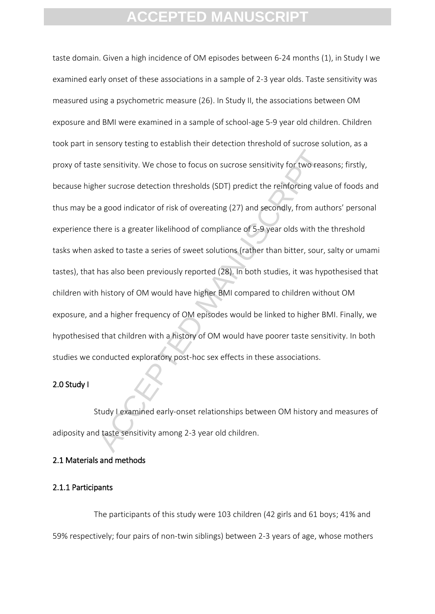e sensitivity. We chose to focus on sucrose sensitivity for two reas<br>ner sucrose detection thresholds (SDT) predict the reinforcing valu<br>a good indicator of risk of overeating (27) and secondly, from author<br>here is a great taste domain. Given a high incidence of OM episodes between 6-24 months (1), in Study I we examined early onset of these associations in a sample of 2-3 year olds. Taste sensitivity was measured using a psychometric measure (26). In Study II, the associations between OM exposure and BMI were examined in a sample of school-age 5-9 year old children. Children took part in sensory testing to establish their detection threshold of sucrose solution, as a proxy of taste sensitivity. We chose to focus on sucrose sensitivity for two reasons; firstly, because higher sucrose detection thresholds (SDT) predict the reinforcing value of foods and thus may be a good indicator of risk of overeating (27) and secondly, from authors' personal experience there is a greater likelihood of compliance of 5-9 year olds with the threshold tasks when asked to taste a series of sweet solutions (rather than bitter, sour, salty or umami tastes), that has also been previously reported (28). In both studies, it was hypothesised that children with history of OM would have higher BMI compared to children without OM exposure, and a higher frequency of OM episodes would be linked to higher BMI. Finally, we hypothesised that children with a history of OM would have poorer taste sensitivity. In both studies we conducted exploratory post-hoc sex effects in these associations.

#### 2.0 Study I

Study I examined early-onset relationships between OM history and measures of adiposity and taste sensitivity among 2-3 year old children.

### 2.1 Materials and methods

#### 2.1.1 Participants

The participants of this study were 103 children (42 girls and 61 boys; 41% and 59% respectively; four pairs of non-twin siblings) between 2-3 years of age, whose mothers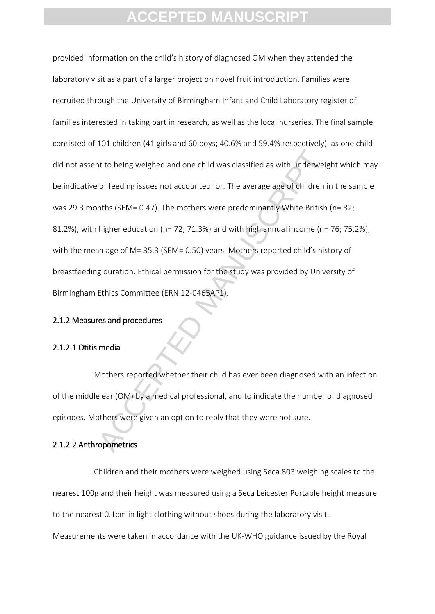nths (SEM= 0.47). The mothers were predominantly white British<br>of feeding issues not accounted for. The average age of children in<br>ths (SEM= 0.47). The mothers were predominantly White British<br>higher education (n= 72; 71.3 provided information on the child's history of diagnosed OM when they attended the laboratory visit as a part of a larger project on novel fruit introduction. Families were recruited through the University of Birmingham Infant and Child Laboratory register of families interested in taking part in research, as well as the local nurseries. The final sample consisted of 101 children (41 girls and 60 boys; 40.6% and 59.4% respectively), as one child did not assent to being weighed and one child was classified as with underweight which may be indicative of feeding issues not accounted for. The average age of children in the sample was 29.3 months (SEM= 0.47). The mothers were predominantly White British (n= 82; 81.2%), with higher education (n= 72; 71.3%) and with high annual income (n= 76; 75.2%), with the mean age of M= 35.3 (SEM= 0.50) years. Mothers reported child's history of breastfeeding duration. Ethical permission for the study was provided by University of Birmingham Ethics Committee (ERN 12-0465AP1).

#### 2.1.2 Measures and procedures

#### 2.1.2.1 Otitis media

Mothers reported whether their child has ever been diagnosed with an infection of the middle ear (OM) by a medical professional, and to indicate the number of diagnosed episodes. Mothers were given an option to reply that they were not sure.

#### 2.1.2.2 Anthropometrics

Children and their mothers were weighed using Seca 803 weighing scales to the nearest 100g and their height was measured using a Seca Leicester Portable height measure to the nearest 0.1cm in light clothing without shoes during the laboratory visit. Measurements were taken in accordance with the UK-WHO guidance issued by the Royal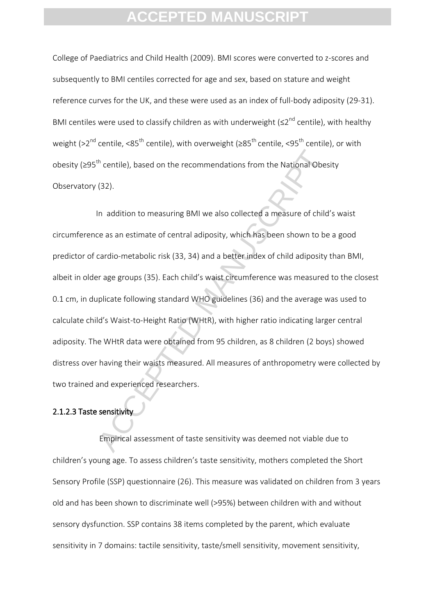College of Paediatrics and Child Health (2009). BMI scores were converted to z-scores and subsequently to BMI centiles corrected for age and sex, based on stature and weight reference curves for the UK, and these were used as an index of full-body adiposity (29-31). BMI centiles were used to classify children as with underweight ( $\leq 2^{nd}$  centile), with healthy weight (>2<sup>nd</sup> centile, <85<sup>th</sup> centile), with overweight ( $\geq 85^{th}$  centile, <95<sup>th</sup> centile), or with obesity (≥95<sup>th</sup> centile), based on the recommendations from the National Obesity Observatory (32).

<sup>th</sup> centile), based on the recommendations from the National Obes<br>(32).<br>In addition to measuring BMI we also collected a measure of child<br>ce as an estimate of central adiposity, which has been shown to be<br>cardio-metabolic In addition to measuring BMI we also collected a measure of child's waist circumference as an estimate of central adiposity, which has been shown to be a good predictor of cardio-metabolic risk (33, 34) and a better index of child adiposity than BMI, albeit in older age groups (35). Each child's waist circumference was measured to the closest 0.1 cm, in duplicate following standard WHO guidelines (36) and the average was used to calculate child's Waist-to-Height Ratio (WHtR), with higher ratio indicating larger central adiposity. The WHtR data were obtained from 95 children, as 8 children (2 boys) showed distress over having their waists measured. All measures of anthropometry were collected by two trained and experienced researchers.

### 2.1.2.3 Taste sensitivity

Empirical assessment of taste sensitivity was deemed not viable due to children's young age. To assess children's taste sensitivity, mothers completed the Short Sensory Profile (SSP) questionnaire (26). This measure was validated on children from 3 years old and has been shown to discriminate well (>95%) between children with and without sensory dysfunction. SSP contains 38 items completed by the parent, which evaluate sensitivity in 7 domains: tactile sensitivity, taste/smell sensitivity, movement sensitivity,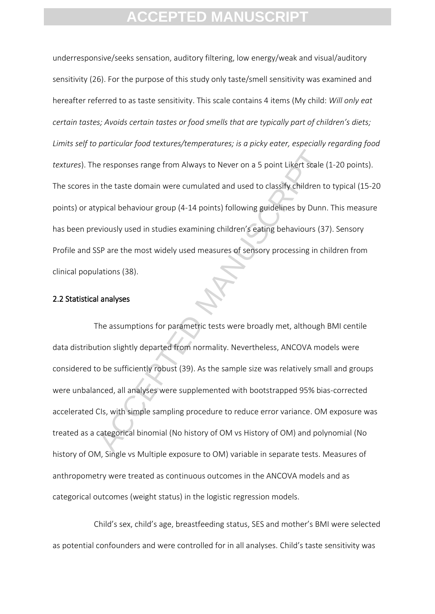underresponsive/seeks sensation, auditory filtering, low energy/weak and visual/auditory sensitivity (26). For the purpose of this study only taste/smell sensitivity was examined and hereafter referred to as taste sensitivity. This scale contains 4 items (My child: *Will only eat certain tastes; Avoids certain tastes or food smells that are typically part of children's diets; Limits self to particular food textures/temperatures; is a picky eater, especially regarding food textures*). The responses range from Always to Never on a 5 point Likert scale (1-20 points). The scores in the taste domain were cumulated and used to classify children to typical (15-20 points) or atypical behaviour group (4-14 points) following guidelines by Dunn. This measure has been previously used in studies examining children's eating behaviours (37). Sensory Profile and SSP are the most widely used measures of sensory processing in children from clinical populations (38).

### 2.2 Statistical analyses

e responses range from Always to Never on a 5 point Likert scale (<br>
1 the taste domain were cumulated and used to classify children to<br>
1 the taste domain were cumulated and used to classify children to<br>
1 the taste domain The assumptions for parametric tests were broadly met, although BMI centile data distribution slightly departed from normality. Nevertheless, ANCOVA models were considered to be sufficiently robust (39). As the sample size was relatively small and groups were unbalanced, all analyses were supplemented with bootstrapped 95% bias-corrected accelerated CIs, with simple sampling procedure to reduce error variance. OM exposure was treated as a categorical binomial (No history of OM vs History of OM) and polynomial (No history of OM, Single vs Multiple exposure to OM) variable in separate tests. Measures of anthropometry were treated as continuous outcomes in the ANCOVA models and as categorical outcomes (weight status) in the logistic regression models.

Child's sex, child's age, breastfeeding status, SES and mother's BMI were selected as potential confounders and were controlled for in all analyses. Child's taste sensitivity was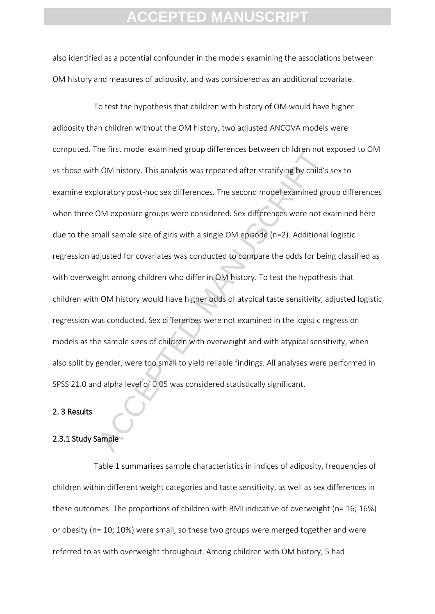also identified as a potential confounder in the models examining the associations between OM history and measures of adiposity, and was considered as an additional covariate.

ne irist model examined group differences between children not a<br>Follow history. This analysis was repeated after stratifying by child's<br>loratory post-hoc sex differences. The second model examined gro<br>DM exposure groups w To test the hypothesis that children with history of OM would have higher adiposity than children without the OM history, two adjusted ANCOVA models were computed. The first model examined group differences between children not exposed to OM vs those with OM history. This analysis was repeated after stratifying by child's sex to examine exploratory post-hoc sex differences. The second model examined group differences when three OM exposure groups were considered. Sex differences were not examined here due to the small sample size of girls with a single OM episode (n=2). Additional logistic regression adjusted for covariates was conducted to compare the odds for being classified as with overweight among children who differ in OM history. To test the hypothesis that children with OM history would have higher odds of atypical taste sensitivity, adjusted logistic regression was conducted. Sex differences were not examined in the logistic regression models as the sample sizes of children with overweight and with atypical sensitivity, when also split by gender, were too small to yield reliable findings. All analyses were performed in SPSS 21.0 and alpha level of 0.05 was considered statistically significant.

#### 2. 3 Results

#### 2.3.1 Study Sample

Table 1 summarises sample characteristics in indices of adiposity, frequencies of children within different weight categories and taste sensitivity, as well as sex differences in these outcomes. The proportions of children with BMI indicative of overweight (n= 16; 16%) or obesity (n= 10; 10%) were small, so these two groups were merged together and were referred to as with overweight throughout. Among children with OM history, 5 had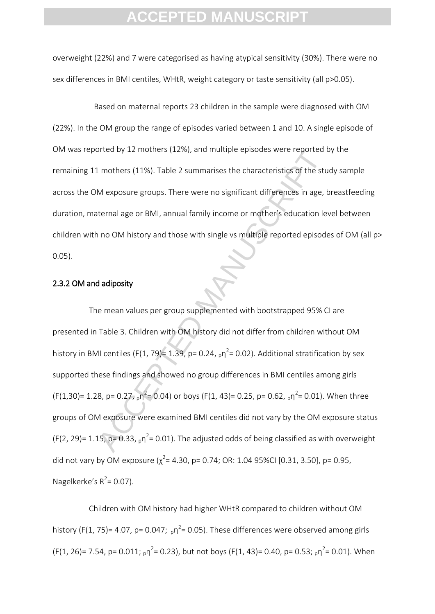overweight (22%) and 7 were categorised as having atypical sensitivity (30%). There were no sex differences in BMI centiles, WHtR, weight category or taste sensitivity (all p>0.05).

Based on maternal reports 23 children in the sample were diagnosed with OM (22%). In the OM group the range of episodes varied between 1 and 10. A single episode of OM was reported by 12 mothers (12%), and multiple episodes were reported by the remaining 11 mothers (11%). Table 2 summarises the characteristics of the study sample across the OM exposure groups. There were no significant differences in age, breastfeeding duration, maternal age or BMI, annual family income or mother's education level between children with no OM history and those with single vs multiple reported episodes of OM (all p> 0.05).

### 2.3.2 OM and adiposity

between by 12 mothers (12%), and multiple episodes were reported to In orthers (11%). Table 2 summarises the characteristics of the stume Mexposure groups. There were no significant differences in age, between Mexposure g The mean values per group supplemented with bootstrapped 95% CI are presented in Table 3. Children with OM history did not differ from children without OM history in BMI centiles (F(1, 79)= 1.39, p= 0.24,  $_p\eta^2$ = 0.02). Additional stratification by sex supported these findings and showed no group differences in BMI centiles among girls  $(F(1,30) = 1.28, p = 0.27, p<sub>p</sub>^2 = 0.04)$  or boys (F(1, 43) = 0.25, p = 0.62,  $p<sub>p</sub>$ <sup>2</sup> = 0.01). When three groups of OM exposure were examined BMI centiles did not vary by the OM exposure status  $(F(2, 29) = 1.15, p = 0.33, p<sup>2</sup> = 0.01)$ . The adjusted odds of being classified as with overweight did not vary by OM exposure  $(\chi^2 = 4.30, p = 0.74, OR: 1.04 95\% CI [0.31, 3.50], p = 0.95,$ Nagelkerke's  $R^2$  = 0.07).

Children with OM history had higher WHtR compared to children without OM history (F(1, 75)= 4.07, p= 0.047;  $_{p}n^{2}$ = 0.05). These differences were observed among girls  $(F(1, 26) = 7.54, p = 0.011; p\eta^2 = 0.23)$ , but not boys  $(F(1, 43) = 0.40, p = 0.53; p\eta^2 = 0.01)$ . When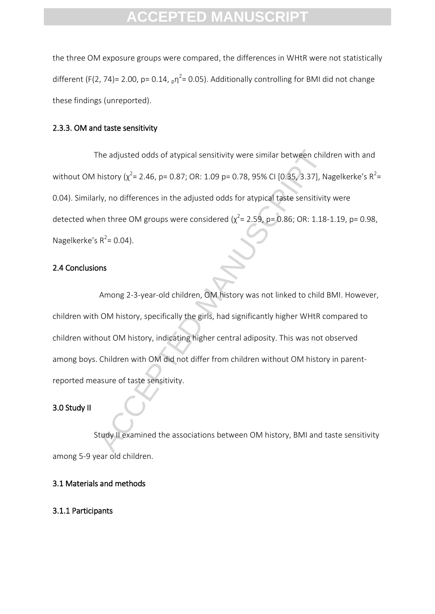the three OM exposure groups were compared, the differences in WHtR were not statistically different (F(2, 74)= 2.00, p= 0.14,  $_p\eta^2$ = 0.05). Additionally controlling for BMI did not change these findings (unreported).

#### 2.3.3. OM and taste sensitivity

The adjusted odds of atypical sensitivity were similar between children with and without OM history ( $\chi^2$ = 2.46, p= 0.87; OR: 1.09 p= 0.78, 95% CI [0.35, 3.37], Nagelkerke's R<sup>2</sup>= 0.04). Similarly, no differences in the adjusted odds for atypical taste sensitivity were detected when three OM groups were considered ( $\chi^2$  = 2.59, p = 0.86; OR: 1.18-1.19, p = 0.98, Nagelkerke's  $R^2$  = 0.04).

#### 2.4 Conclusions

The adjusted odds of atypical sensitivity were similar between child<br>history ( $\chi^2$  = 2.46, p = 0.87; OR: 1.09 p = 0.78, 95% CI (0.35, 3.37), N:<br>rly, no differences in the adjusted odds for atypical taste sensitivity<br>en Among 2-3-year-old children, OM history was not linked to child BMI. However, children with OM history, specifically the girls, had significantly higher WHtR compared to children without OM history, indicating higher central adiposity. This was not observed among boys. Children with OM did not differ from children without OM history in parentreported measure of taste sensitivity.

#### 3.0 Study II

Study II examined the associations between OM history, BMI and taste sensitivity among 5-9 year old children.

#### 3.1 Materials and methods

3.1.1 Participants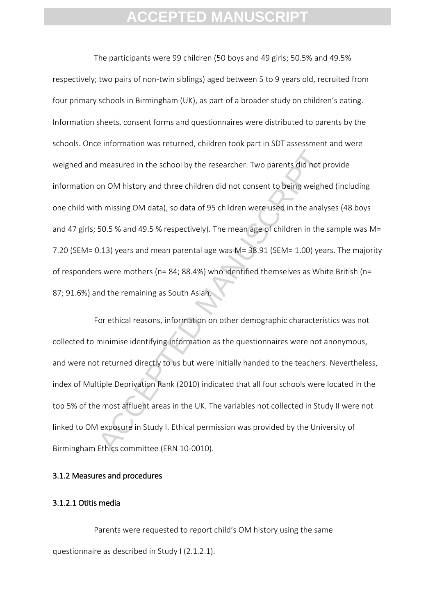I measured in the school by the researcher. Two parents did not promon OM history and three children did not consent to being weigheth missing OM data), so data of 95 children were used in the analy:<br>50.5 % and 49.5 % resp The participants were 99 children (50 boys and 49 girls; 50.5% and 49.5% respectively; two pairs of non-twin siblings) aged between 5 to 9 years old, recruited from four primary schools in Birmingham (UK), as part of a broader study on children's eating. Information sheets, consent forms and questionnaires were distributed to parents by the schools. Once information was returned, children took part in SDT assessment and were weighed and measured in the school by the researcher. Two parents did not provide information on OM history and three children did not consent to being weighed (including one child with missing OM data), so data of 95 children were used in the analyses (48 boys and 47 girls; 50.5 % and 49.5 % respectively). The mean age of children in the sample was M= 7.20 (SEM= 0.13) years and mean parental age was M= 38.91 (SEM= 1.00) years. The majority of responders were mothers (n= 84; 88.4%) who identified themselves as White British (n= 87; 91.6%) and the remaining as South Asian.

For ethical reasons, information on other demographic characteristics was not collected to minimise identifying information as the questionnaires were not anonymous, and were not returned directly to us but were initially handed to the teachers. Nevertheless, index of Multiple Deprivation Rank (2010) indicated that all four schools were located in the top 5% of the most affluent areas in the UK. The variables not collected in Study II were not linked to OM exposure in Study I. Ethical permission was provided by the University of Birmingham Ethics committee (ERN 10-0010).

### 3.1.2 Measures and procedures

#### 3.1.2.1 Otitis media

Parents were requested to report child's OM history using the same questionnaire as described in Study I (2.1.2.1).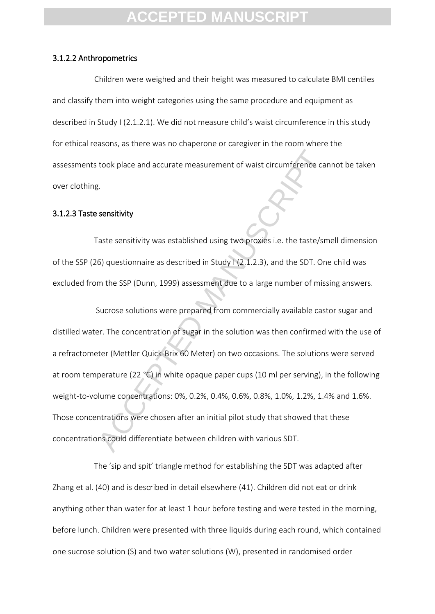#### 3.1.2.2 Anthropometrics

 Children were weighed and their height was measured to calculate BMI centiles and classify them into weight categories using the same procedure and equipment as described in Study I (2.1.2.1). We did not measure child's waist circumference in this study for ethical reasons, as there was no chaperone or caregiver in the room where the assessments took place and accurate measurement of waist circumference cannot be taken over clothing.

#### 3.1.2.3 Taste sensitivity

Taste sensitivity was established using two proxies i.e. the taste/smell dimension of the SSP (26) questionnaire as described in Study I (2.1.2.3), and the SDT. One child was excluded from the SSP (Dunn, 1999) assessment due to a large number of missing answers.

took place and accurate measurement of waist circumference car<br>
3.<br>
Sensitivity<br>
Taste sensitivity<br>
Taste sensitivity<br>
Taste sensitivity<br>
G) questionnaire as described in Study I (2.1.2.3), and the SDT. One<br>
m the SSP (Dun Sucrose solutions were prepared from commercially available castor sugar and distilled water. The concentration of sugar in the solution was then confirmed with the use of a refractometer (Mettler Quick-Brix 60 Meter) on two occasions. The solutions were served at room temperature (22 °C) in white opaque paper cups (10 ml per serving), in the following weight-to-volume concentrations: 0%, 0.2%, 0.4%, 0.6%, 0.8%, 1.0%, 1.2%, 1.4% and 1.6%. Those concentrations were chosen after an initial pilot study that showed that these concentrations could differentiate between children with various SDT.

The 'sip and spit' triangle method for establishing the SDT was adapted after Zhang et al. (40) and is described in detail elsewhere (41). Children did not eat or drink anything other than water for at least 1 hour before testing and were tested in the morning, before lunch. Children were presented with three liquids during each round, which contained one sucrose solution (S) and two water solutions (W), presented in randomised order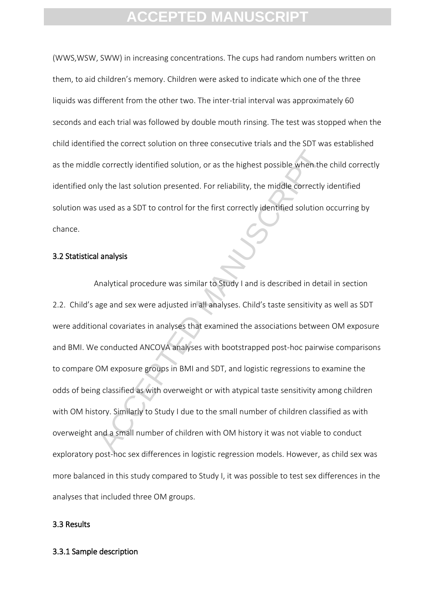(WWS,WSW, SWW) in increasing concentrations. The cups had random numbers written on them, to aid children's memory. Children were asked to indicate which one of the three liquids was different from the other two. The inter-trial interval was approximately 60 seconds and each trial was followed by double mouth rinsing. The test was stopped when the child identified the correct solution on three consecutive trials and the SDT was established as the middle correctly identified solution, or as the highest possible when the child correctly identified only the last solution presented. For reliability, the middle correctly identified solution was used as a SDT to control for the first correctly identified solution occurring by chance.

#### 3.2 Statistical analysis

e correctly identified solution, or as the highest possible when the<br>ly the last solution presented. For reliability, the middle correctly<br>used as a SDT to control for the first correctly identified solution<br>of<br>landysis<br>an Analytical procedure was similar to Study I and is described in detail in section 2.2. Child's age and sex were adjusted in all analyses. Child's taste sensitivity as well as SDT were additional covariates in analyses that examined the associations between OM exposure and BMI. We conducted ANCOVA analyses with bootstrapped post-hoc pairwise comparisons to compare OM exposure groups in BMI and SDT, and logistic regressions to examine the odds of being classified as with overweight or with atypical taste sensitivity among children with OM history. Similarly to Study I due to the small number of children classified as with overweight and a small number of children with OM history it was not viable to conduct exploratory post-hoc sex differences in logistic regression models. However, as child sex was more balanced in this study compared to Study I, it was possible to test sex differences in the analyses that included three OM groups.

#### 3.3 Results

#### 3.3.1 Sample description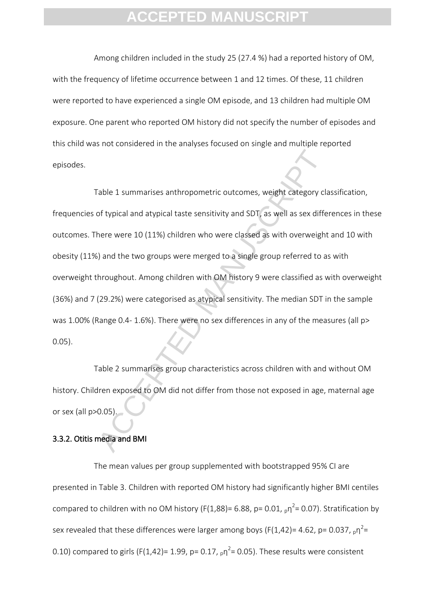Among children included in the study 25 (27.4 %) had a reported history of OM, with the frequency of lifetime occurrence between 1 and 12 times. Of these, 11 children were reported to have experienced a single OM episode, and 13 children had multiple OM exposure. One parent who reported OM history did not specify the number of episodes and this child was not considered in the analyses focused on single and multiple reported episodes.

Table 1 summarises anthropometric outcomes, weight category class of typical and atypical taste sensitivity and SDT, as well as sex difference were 10 (11%) children who were classed as with overweight i) and the two group Table 1 summarises anthropometric outcomes, weight category classification, frequencies of typical and atypical taste sensitivity and SDT, as well as sex differences in these outcomes. There were 10 (11%) children who were classed as with overweight and 10 with obesity (11%) and the two groups were merged to a single group referred to as with overweight throughout. Among children with OM history 9 were classified as with overweight (36%) and 7 (29.2%) were categorised as atypical sensitivity. The median SDT in the sample was 1.00% (Range 0.4- 1.6%). There were no sex differences in any of the measures (all p> 0.05).

Table 2 summarises group characteristics across children with and without OM history. Children exposed to OM did not differ from those not exposed in age, maternal age or sex (all p>0.05).

#### 3.3.2. Otitis media and BMI

The mean values per group supplemented with bootstrapped 95% CI are presented in Table 3. Children with reported OM history had significantly higher BMI centiles compared to children with no OM history (F(1,88)= 6.88, p= 0.01,  $_{p}n^{2}$ = 0.07). Stratification by sex revealed that these differences were larger among boys (F(1,42)= 4.62, p= 0.037,  $_{\text{p}}$  $\eta^2$ = 0.10) compared to girls (F(1,42)= 1.99, p= 0.17,  $_p\eta^2$ = 0.05). These results were consistent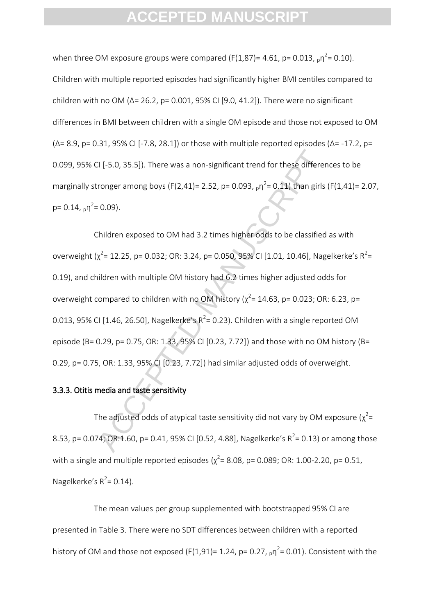when three OM exposure groups were compared (F(1,87)= 4.61, p= 0.013,  $_{p}n^{2}$ = 0.10). Children with multiple reported episodes had significantly higher BMI centiles compared to children with no OM ( $\Delta$ = 26.2, p= 0.001, 95% CI [9.0, 41.2]). There were no significant differences in BMI between children with a single OM episode and those not exposed to OM (Δ= 8.9, p= 0.31, 95% CI [-7.8, 28.1]) or those with multiple reported episodes (Δ= -17.2, p= 0.099, 95% CI [-5.0, 35.5]). There was a non-significant trend for these differences to be marginally stronger among boys (F(2,41)= 2.52, p= 0.093,  $_{p}n^{2}$ = 0.11) than girls (F(1,41)= 2.07, p= 0.14,  $_p \eta^2$ = 0.09).

CI [-5.0, 35.5]). There was a non-significant trend for these different<br>
ronger among boys (F(2,41)= 2.52, p= 0.093, <sub>p</sub>n<sup>2</sup>= 0.11) than girls<br>
e 0.09).<br>
Children exposed to OM had 3.2 times higher odds to be classified<br> Children exposed to OM had 3.2 times higher odds to be classified as with overweight ( $\chi^2$ = 12.25, p= 0.032; OR: 3.24, p= 0.050, 95% CI [1.01, 10.46], Nagelkerke's R<sup>2</sup>= 0.19), and children with multiple OM history had 6.2 times higher adjusted odds for overweight compared to children with no OM history ( $\chi^2$  = 14.63, p = 0.023; OR: 6.23, p = 0.013, 95% CI [1.46, 26.50], Nagelkerke's  $R^2$ = 0.23). Children with a single reported OM episode (B= 0.29, p= 0.75, OR: 1.33, 95% CI [0.23, 7.72]) and those with no OM history (B= 0.29, p= 0.75, OR: 1.33, 95% CI [0.23, 7.72]) had similar adjusted odds of overweight.

### 3.3.3. Otitis media and taste sensitivity

The adjusted odds of atypical taste sensitivity did not vary by OM exposure ( $\chi^2$ = 8.53, p= 0.074; OR:1.60, p= 0.41, 95% CI [0.52, 4.88], Nagelkerke's  $R^2$ = 0.13) or among those with a single and multiple reported episodes  $(\chi^2 = 8.08, p = 0.089, OR: 1.00-2.20, p = 0.51,$ Nagelkerke's  $R^2$ = 0.14).

The mean values per group supplemented with bootstrapped 95% CI are presented in Table 3. There were no SDT differences between children with a reported history of OM and those not exposed (F(1,91)= 1.24, p= 0.27,  $_{p}n^{2}$ = 0.01). Consistent with the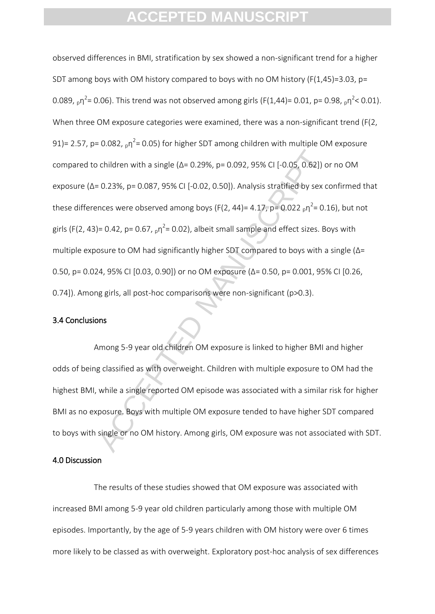o children with a single (Δ= 0.29%, p= 0.092, 95% CI [-0.05, 0.62]) o<br>
e 0.23%, p= 0.087, 95% CI [-0.02, 0.50]). Analysis stratified by sex c<br>
nces were observed among boys (F(2, 44)= 4.17, p= 0.022 <sub>p</sub>η<sup>2</sup>= 0.1<br>
p= 0.42 observed differences in BMI, stratification by sex showed a non-significant trend for a higher SDT among boys with OM history compared to boys with no OM history (F(1,45)=3.03, p= 0.089,  $_{\text{p}}$ n<sup>2</sup>= 0.06). This trend was not observed among girls (F(1,44)= 0.01, p= 0.98,  $_{\text{p}}$ n<sup>2</sup>< 0.01). When three OM exposure categories were examined, there was a non-significant trend (F(2, 91)= 2.57, p= 0.082,  $_p$ η<sup>2</sup>= 0.05) for higher SDT among children with multiple OM exposure compared to children with a single (Δ= 0.29%, p= 0.092, 95% CI [-0.05, 0.62]) or no OM exposure (Δ= 0.23%, p= 0.087, 95% CI [-0.02, 0.50]). Analysis stratified by sex confirmed that these differences were observed among boys (F(2, 44)= 4.17, p= 0.022  $_{\text{p}}$ n<sup>2</sup>= 0.16), but not girls (F(2, 43)= 0.42, p= 0.67,  $_p\eta^2$ = 0.02), albeit small sample and effect sizes. Boys with multiple exposure to OM had significantly higher SDT compared to boys with a single (Δ= 0.50, p= 0.024, 95% CI [0.03, 0.90]) or no OM exposure (Δ= 0.50, p= 0.001, 95% CI [0.26, 0.74]). Among girls, all post-hoc comparisons were non-significant (p>0.3).

#### 3.4 Conclusions

Among 5-9 year old children OM exposure is linked to higher BMI and higher odds of being classified as with overweight. Children with multiple exposure to OM had the highest BMI, while a single reported OM episode was associated with a similar risk for higher BMI as no exposure. Boys with multiple OM exposure tended to have higher SDT compared to boys with single or no OM history. Among girls, OM exposure was not associated with SDT.

#### 4.0 Discussion

The results of these studies showed that OM exposure was associated with increased BMI among 5-9 year old children particularly among those with multiple OM episodes. Importantly, by the age of 5-9 years children with OM history were over 6 times more likely to be classed as with overweight. Exploratory post-hoc analysis of sex differences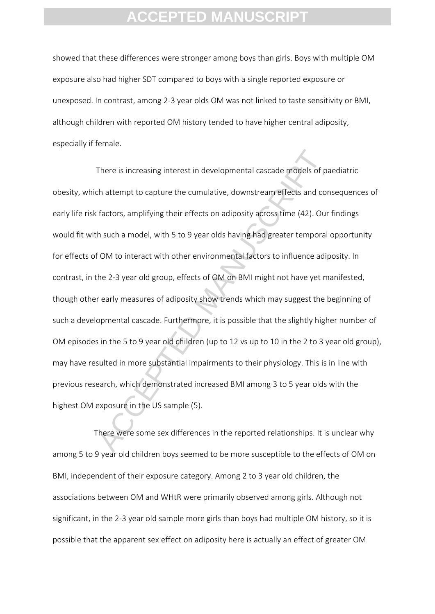showed that these differences were stronger among boys than girls. Boys with multiple OM exposure also had higher SDT compared to boys with a single reported exposure or unexposed. In contrast, among 2-3 year olds OM was not linked to taste sensitivity or BMI, although children with reported OM history tended to have higher central adiposity, especially if female.

There is increasing interest in developmental cascade models of p:<br>
the attempt to capture the cumulative, downstream effects and cor<br>
factors, amplifying their effects on adiposity across time (42). Our<br>
h such a model, w There is increasing interest in developmental cascade models of paediatric obesity, which attempt to capture the cumulative, downstream effects and consequences of early life risk factors, amplifying their effects on adiposity across time (42). Our findings would fit with such a model, with 5 to 9 year olds having had greater temporal opportunity for effects of OM to interact with other environmental factors to influence adiposity. In contrast, in the 2-3 year old group, effects of OM on BMI might not have yet manifested, though other early measures of adiposity show trends which may suggest the beginning of such a developmental cascade. Furthermore, it is possible that the slightly higher number of OM episodes in the 5 to 9 year old children (up to 12 vs up to 10 in the 2 to 3 year old group), may have resulted in more substantial impairments to their physiology. This is in line with previous research, which demonstrated increased BMI among 3 to 5 year olds with the highest OM exposure in the US sample (5).

There were some sex differences in the reported relationships. It is unclear why among 5 to 9 year old children boys seemed to be more susceptible to the effects of OM on BMI, independent of their exposure category. Among 2 to 3 year old children, the associations between OM and WHtR were primarily observed among girls. Although not significant, in the 2-3 year old sample more girls than boys had multiple OM history, so it is possible that the apparent sex effect on adiposity here is actually an effect of greater OM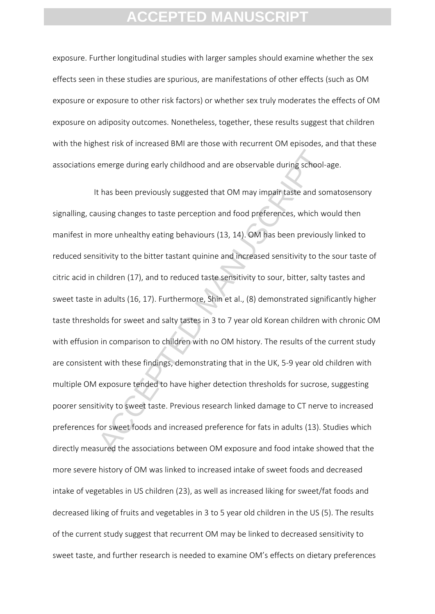exposure. Further longitudinal studies with larger samples should examine whether the sex effects seen in these studies are spurious, are manifestations of other effects (such as OM exposure or exposure to other risk factors) or whether sex truly moderates the effects of OM exposure on adiposity outcomes. Nonetheless, together, these results suggest that children with the highest risk of increased BMI are those with recurrent OM episodes, and that these associations emerge during early childhood and are observable during school-age.

emerge during early childhood and are observable during school-<br>thas been previously suggested that OM may impair taste and sor<br>using changes to taste perception and food preferences, which we<br>more unhealthy eating behavio It has been previously suggested that OM may impair taste and somatosensory signalling, causing changes to taste perception and food preferences, which would then manifest in more unhealthy eating behaviours (13, 14). OM has been previously linked to reduced sensitivity to the bitter tastant quinine and increased sensitivity to the sour taste of citric acid in children (17), and to reduced taste sensitivity to sour, bitter, salty tastes and sweet taste in adults (16, 17). Furthermore, Shin et al., (8) demonstrated significantly higher taste thresholds for sweet and salty tastes in 3 to 7 year old Korean children with chronic OM with effusion in comparison to children with no OM history. The results of the current study are consistent with these findings, demonstrating that in the UK, 5-9 year old children with multiple OM exposure tended to have higher detection thresholds for sucrose, suggesting poorer sensitivity to sweet taste. Previous research linked damage to CT nerve to increased preferences for sweet foods and increased preference for fats in adults (13). Studies which directly measured the associations between OM exposure and food intake showed that the more severe history of OM was linked to increased intake of sweet foods and decreased intake of vegetables in US children (23), as well as increased liking for sweet/fat foods and decreased liking of fruits and vegetables in 3 to 5 year old children in the US (5). The results of the current study suggest that recurrent OM may be linked to decreased sensitivity to sweet taste, and further research is needed to examine OM's effects on dietary preferences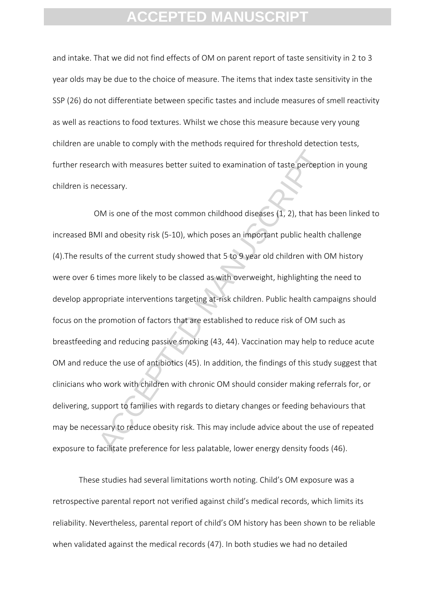and intake. That we did not find effects of OM on parent report of taste sensitivity in 2 to 3 year olds may be due to the choice of measure. The items that index taste sensitivity in the SSP (26) do not differentiate between specific tastes and include measures of smell reactivity as well as reactions to food textures. Whilst we chose this measure because very young children are unable to comply with the methods required for threshold detection tests, further research with measures better suited to examination of taste perception in young children is necessary.

arch with measures better suited to examination of taste perceptic<br>ecessary.<br>
MM is one of the most common childhood diseases (1, 2), that has<br>
All and obesity risk (5-10), which poses an important public health<br>
ts of the OM is one of the most common childhood diseases (1, 2), that has been linked to increased BMI and obesity risk (5-10), which poses an important public health challenge (4).The results of the current study showed that 5 to 9 year old children with OM history were over 6 times more likely to be classed as with overweight, highlighting the need to develop appropriate interventions targeting at-risk children. Public health campaigns should focus on the promotion of factors that are established to reduce risk of OM such as breastfeeding and reducing passive smoking (43, 44). Vaccination may help to reduce acute OM and reduce the use of antibiotics (45). In addition, the findings of this study suggest that clinicians who work with children with chronic OM should consider making referrals for, or delivering, support to families with regards to dietary changes or feeding behaviours that may be necessary to reduce obesity risk. This may include advice about the use of repeated exposure to facilitate preference for less palatable, lower energy density foods (46).

These studies had several limitations worth noting. Child's OM exposure was a retrospective parental report not verified against child's medical records, which limits its reliability. Nevertheless, parental report of child's OM history has been shown to be reliable when validated against the medical records (47). In both studies we had no detailed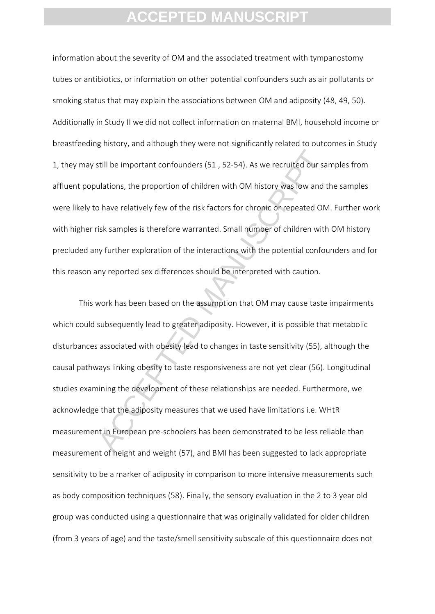information about the severity of OM and the associated treatment with tympanostomy tubes or antibiotics, or information on other potential confounders such as air pollutants or smoking status that may explain the associations between OM and adiposity (48, 49, 50). Additionally in Study II we did not collect information on maternal BMI, household income or breastfeeding history, and although they were not significantly related to outcomes in Study 1, they may still be important confounders (51 , 52-54). As we recruited our samples from affluent populations, the proportion of children with OM history was low and the samples were likely to have relatively few of the risk factors for chronic or repeated OM. Further work with higher risk samples is therefore warranted. Small number of children with OM history precluded any further exploration of the interactions with the potential confounders and for this reason any reported sex differences should be interpreted with caution.

still be important confounders (51, 52-54). As we recruited our sative distances and a stations, the proportion of children with OM history was low and to have relatively few of the risk factors for chronic or repeated OM This work has been based on the assumption that OM may cause taste impairments which could subsequently lead to greater adiposity. However, it is possible that metabolic disturbances associated with obesity lead to changes in taste sensitivity (55), although the causal pathways linking obesity to taste responsiveness are not yet clear (56). Longitudinal studies examining the development of these relationships are needed. Furthermore, we acknowledge that the adiposity measures that we used have limitations i.e. WHtR measurement in European pre-schoolers has been demonstrated to be less reliable than measurement of height and weight (57), and BMI has been suggested to lack appropriate sensitivity to be a marker of adiposity in comparison to more intensive measurements such as body composition techniques (58). Finally, the sensory evaluation in the 2 to 3 year old group was conducted using a questionnaire that was originally validated for older children (from 3 years of age) and the taste/smell sensitivity subscale of this questionnaire does not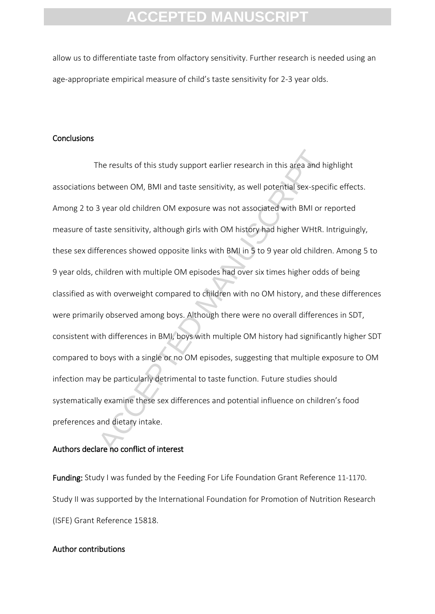allow us to differentiate taste from olfactory sensitivity. Further research is needed using an age-appropriate empirical measure of child's taste sensitivity for 2-3 year olds.

#### **Conclusions**

The results of this study support earlier research in this area and hi<br>between OM, BMI and taste sensitivity, as well potential sex-special<br>year old children OM exposure was not associated with BMI or re<br>aste sensitivity, The results of this study support earlier research in this area and highlight associations between OM, BMI and taste sensitivity, as well potential sex-specific effects. Among 2 to 3 year old children OM exposure was not associated with BMI or reported measure of taste sensitivity, although girls with OM history had higher WHtR. Intriguingly, these sex differences showed opposite links with BMI in 5 to 9 year old children. Among 5 to 9 year olds, children with multiple OM episodes had over six times higher odds of being classified as with overweight compared to children with no OM history, and these differences were primarily observed among boys. Although there were no overall differences in SDT, consistent with differences in BMI, boys with multiple OM history had significantly higher SDT compared to boys with a single or no OM episodes, suggesting that multiple exposure to OM infection may be particularly detrimental to taste function. Future studies should systematically examine these sex differences and potential influence on children's food preferences and dietary intake.

#### Authors declare no conflict of interest

Funding: Study I was funded by the Feeding For Life Foundation Grant Reference 11-1170. Study II was supported by the International Foundation for Promotion of Nutrition Research (ISFE) Grant Reference 15818.

#### Author contributions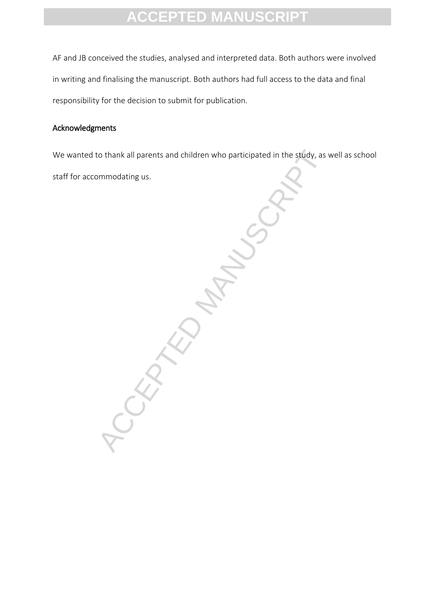AF and JB conceived the studies, analysed and interpreted data. Both authors were involved in writing and finalising the manuscript. Both authors had full access to the data and final responsibility for the decision to submit for publication.

### Acknowledgments

We wanted to thank all parents and children who participated in the study, as well as school staff for accommodating us.

ACCEPTED MANUSCRIPT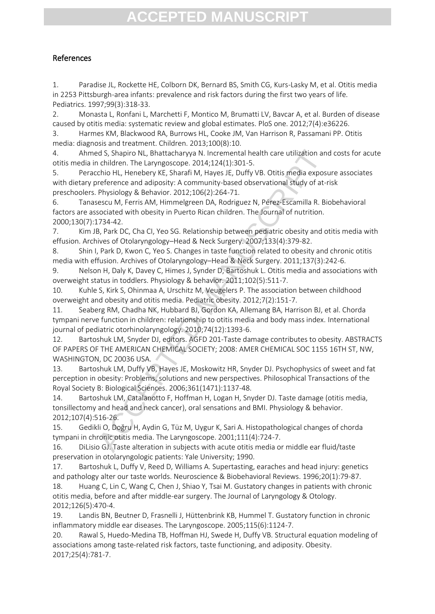### References

1. Paradise JL, Rockette HE, Colborn DK, Bernard BS, Smith CG, Kurs-Lasky M, et al. Otitis media in 2253 Pittsburgh-area infants: prevalence and risk factors during the first two years of life. Pediatrics. 1997;99(3):318-33.

2. Monasta L, Ronfani L, Marchetti F, Montico M, Brumatti LV, Bavcar A, et al. Burden of disease caused by otitis media: systematic review and global estimates. PloS one. 2012;7(4):e36226.

3. Harmes KM, Blackwood RA, Burrows HL, Cooke JM, Van Harrison R, Passamani PP. Otitis media: diagnosis and treatment. Children. 2013;100(8):10.

4. Ahmed S, Shapiro NL, Bhattacharyya N. Incremental health care utilization and costs for acute otitis media in children. The Laryngoscope. 2014;124(1):301-5.

5. Peracchio HL, Henebery KE, Sharafi M, Hayes JE, Duffy VB. Otitis media exposure associates with dietary preference and adiposity: A community-based observational study of at-risk preschoolers. Physiology & Behavior. 2012;106(2):264-71.

6. Tanasescu M, Ferris AM, Himmelgreen DA, Rodriguez N, Pérez-Escamilla R. Biobehavioral factors are associated with obesity in Puerto Rican children. The Journal of nutrition. 2000;130(7):1734-42.

7. Kim JB, Park DC, Cha CI, Yeo SG. Relationship between pediatric obesity and otitis media with effusion. Archives of Otolaryngology–Head & Neck Surgery. 2007;133(4):379-82.

8. Shin I, Park D, Kwon C, Yeo S. Changes in taste function related to obesity and chronic otitis media with effusion. Archives of Otolaryngology–Head & Neck Surgery. 2011;137(3):242-6.

9. Nelson H, Daly K, Davey C, Himes J, Synder D, Bartoshuk L. Otitis media and associations with overweight status in toddlers. Physiology & behavior. 2011;102(5):511-7.

10. Kuhle S, Kirk S, Ohinmaa A, Urschitz M, Veugelers P. The association between childhood overweight and obesity and otitis media. Pediatric obesity. 2012;7(2):151-7.

11. Seaberg RM, Chadha NK, Hubbard BJ, Gordon KA, Allemang BA, Harrison BJ, et al. Chorda tympani nerve function in children: relationship to otitis media and body mass index. International journal of pediatric otorhinolaryngology. 2010;74(12):1393-6.

d S, Shapiro NL, Bhattacharyya N. Incremental health care utilization an children. The Lanyngoscope. 2014;124(1):301-5.<br>Chidren. The Lanyngoscope 2014;124(1):301-5.<br>This media exposite and adiposity: A community-based obse 12. Bartoshuk LM, Snyder DJ, editors. AGFD 201-Taste damage contributes to obesity. ABSTRACTS OF PAPERS OF THE AMERICAN CHEMICAL SOCIETY; 2008: AMER CHEMICAL SOC 1155 16TH ST, NW, WASHINGTON, DC 20036 USA.

13. Bartoshuk LM, Duffy VB, Hayes JE, Moskowitz HR, Snyder DJ. Psychophysics of sweet and fat perception in obesity: Problems, solutions and new perspectives. Philosophical Transactions of the Royal Society B: Biological Sciences. 2006;361(1471):1137-48.

14. Bartoshuk LM, Catalanotto F, Hoffman H, Logan H, Snyder DJ. Taste damage (otitis media, tonsillectomy and head and neck cancer), oral sensations and BMI. Physiology & behavior. 2012;107(4):516-26.

15. Gedikli O, Doğru H, Aydin G, Tüz M, Uygur K, Sari A. Histopathological changes of chorda tympani in chronic otitis media. The Laryngoscope. 2001;111(4):724-7.

16. DiLisio GJ. Taste alteration in subjects with acute otitis media or middle ear fluid/taste preservation in otolaryngologic patients: Yale University; 1990.

17. Bartoshuk L, Duffy V, Reed D, Williams A. Supertasting, earaches and head injury: genetics and pathology alter our taste worlds. Neuroscience & Biobehavioral Reviews. 1996;20(1):79-87.

18. Huang C, Lin C, Wang C, Chen J, Shiao Y, Tsai M. Gustatory changes in patients with chronic otitis media, before and after middle-ear surgery. The Journal of Laryngology & Otology. 2012;126(5):470-4.

19. Landis BN, Beutner D, Frasnelli J, Hüttenbrink KB, Hummel T. Gustatory function in chronic inflammatory middle ear diseases. The Laryngoscope. 2005;115(6):1124-7.

20. Rawal S, Huedo-Medina TB, Hoffman HJ, Swede H, Duffy VB. Structural equation modeling of associations among taste‐related risk factors, taste functioning, and adiposity. Obesity. 2017;25(4):781-7.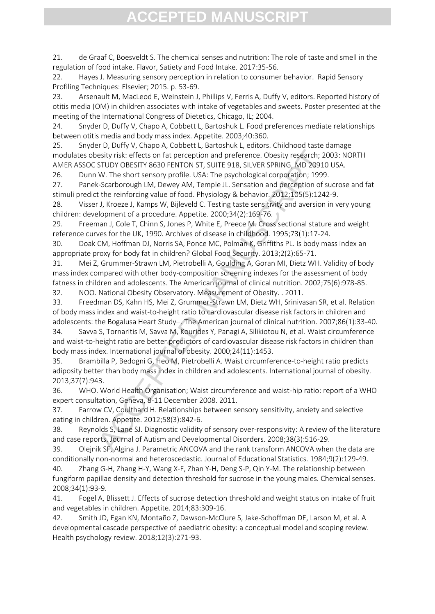21. de Graaf C, Boesveldt S. The chemical senses and nutrition: The role of taste and smell in the regulation of food intake. Flavor, Satiety and Food Intake. 2017:35-56.

22. Hayes J. Measuring sensory perception in relation to consumer behavior. Rapid Sensory Profiling Techniques: Elsevier; 2015. p. 53-69.

23. Arsenault M, MacLeod E, Weinstein J, Phillips V, Ferris A, Duffy V, editors. Reported history of otitis media (OM) in children associates with intake of vegetables and sweets. Poster presented at the meeting of the International Congress of Dietetics, Chicago, IL; 2004.

24. Snyder D, Duffy V, Chapo A, Cobbett L, Bartoshuk L. Food preferences mediate relationships between otitis media and body mass index. Appetite. 2003;40:360.

25. Snyder D, Duffy V, Chapo A, Cobbett L, Bartoshuk L, editors. Childhood taste damage modulates obesity risk: effects on fat perception and preference. Obesity research; 2003: NORTH AMER ASSOC STUDY OBESITY 8630 FENTON ST, SUITE 918, SILVER SPRING, MD 20910 USA.

26. Dunn W. The short sensory profile. USA: The psychological corporation; 1999.

27. Panek-Scarborough LM, Dewey AM, Temple JL. Sensation and perception of sucrose and fat stimuli predict the reinforcing value of food. Physiology & behavior. 2012;105(5):1242-9.

28. Visser J, Kroeze J, Kamps W, Bijleveld C. Testing taste sensitivity and aversion in very young children: development of a procedure. Appetite. 2000;34(2):169-76.

29. Freeman J, Cole T, Chinn S, Jones P, White E, Preece M. Cross sectional stature and weight reference curves for the UK, 1990. Archives of disease in childhood. 1995;73(1):17-24.

30. Doak CM, Hoffman DJ, Norris SA, Ponce MC, Polman K, Griffiths PL. Is body mass index an appropriate proxy for body fat in children? Global Food Security. 2013;2(2):65-71.

31. Mei Z, Grummer-Strawn LM, Pietrobelli A, Goulding A, Goran MI, Dietz WH. Validity of body mass index compared with other body-composition screening indexes for the assessment of body fatness in children and adolescents. The American journal of clinical nutrition. 2002;75(6):978-85.

32. NOO. National Obesity Observatory. Measurement of Obesity. . 2011.

esity risk: effects on fat perception and preference. Obesity research; 2CSTUV OBESITY B650 FTMON ST, SUITE 918, SILVER 3RNG, MD 20910<br>V. The short sensory profile. USA: The psychological corporation; 1999.<br>Scarborough LM, 33. Freedman DS, Kahn HS, Mei Z, Grummer-Strawn LM, Dietz WH, Srinivasan SR, et al. Relation of body mass index and waist-to-height ratio to cardiovascular disease risk factors in children and adolescents: the Bogalusa Heart Study–. The American journal of clinical nutrition. 2007;86(1):33-40. 34. Savva S, Tornaritis M, Savva M, Kourides Y, Panagi A, Silikiotou N, et al. Waist circumference

and waist-to-height ratio are better predictors of cardiovascular disease risk factors in children than body mass index. International journal of obesity. 2000;24(11):1453.

35. Brambilla P, Bedogni G, Heo M, Pietrobelli A. Waist circumference-to-height ratio predicts adiposity better than body mass index in children and adolescents. International journal of obesity. 2013;37(7):943.

36. WHO. World Health Organisation; Waist circumference and waist-hip ratio: report of a WHO expert consultation, Geneva, 8-11 December 2008. 2011.

37. Farrow CV, Coulthard H. Relationships between sensory sensitivity, anxiety and selective eating in children. Appetite. 2012;58(3):842-6.

38. Reynolds S, Lane SJ. Diagnostic validity of sensory over-responsivity: A review of the literature and case reports. Journal of Autism and Developmental Disorders. 2008;38(3):516-29.

39. Olejnik SF, Algina J. Parametric ANCOVA and the rank transform ANCOVA when the data are conditionally non-normal and heteroscedastic. Journal of Educational Statistics. 1984;9(2):129-49.

40. Zhang G-H, Zhang H-Y, Wang X-F, Zhan Y-H, Deng S-P, Qin Y-M. The relationship between fungiform papillae density and detection threshold for sucrose in the young males. Chemical senses. 2008;34(1):93-9.

41. Fogel A, Blissett J. Effects of sucrose detection threshold and weight status on intake of fruit and vegetables in children. Appetite. 2014;83:309-16.

42. Smith JD, Egan KN, Montaño Z, Dawson-McClure S, Jake-Schoffman DE, Larson M, et al. A developmental cascade perspective of paediatric obesity: a conceptual model and scoping review. Health psychology review. 2018;12(3):271-93.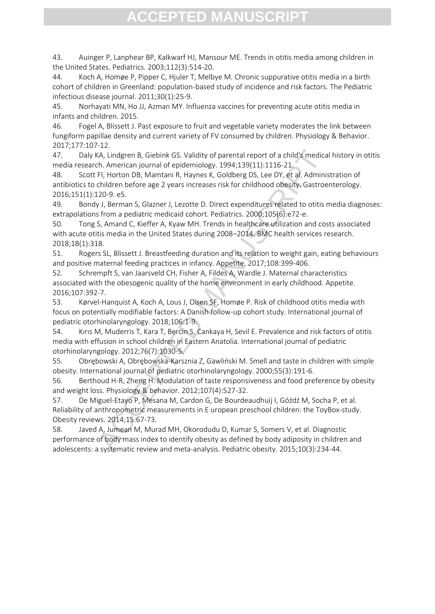43. Auinger P, Lanphear BP, Kalkwarf HJ, Mansour ME. Trends in otitis media among children in the United States. Pediatrics. 2003;112(3):514-20.

44. Koch A, Homøe P, Pipper C, Hjuler T, Melbye M. Chronic suppurative otitis media in a birth cohort of children in Greenland: population-based study of incidence and risk factors. The Pediatric infectious disease journal. 2011;30(1):25-9.

45. Norhayati MN, Ho JJ, Azman MY. Influenza vaccines for preventing acute otitis media in infants and children. 2015.

46. Fogel A, Blissett J. Past exposure to fruit and vegetable variety moderates the link between fungiform papillae density and current variety of FV consumed by children. Physiology & Behavior. 2017;177:107-12.

47. Daly KA, Lindgren B, Giebink GS. Validity of parental report of a child's medical history in otitis media research. American journal of epidemiology. 1994;139(11):1116-21.

KA, Lindgren B, Giebink GS. Validity of parental report of a child's medicantich.<br>
A. American journal of epidemiology. 1994;139(11):1116-21.<br>
F.F. Anotron DB, Mamtani R, Haynes K, Goldberg DS, Lee DY, et al. Administhildr 48. Scott FI, Horton DB, Mamtani R, Haynes K, Goldberg DS, Lee DY, et al. Administration of antibiotics to children before age 2 years increases risk for childhood obesity. Gastroenterology. 2016;151(1):120-9. e5.

49. Bondy J, Berman S, Glazner J, Lezotte D. Direct expenditures related to otitis media diagnoses: extrapolations from a pediatric medicaid cohort. Pediatrics. 2000;105(6):e72-e.

50. Tong S, Amand C, Kieffer A, Kyaw MH. Trends in healthcare utilization and costs associated with acute otitis media in the United States during 2008–2014. BMC health services research. 2018;18(1):318.

51. Rogers SL, Blissett J. Breastfeeding duration and its relation to weight gain, eating behaviours and positive maternal feeding practices in infancy. Appetite. 2017;108:399-406.

52. Schrempft S, van Jaarsveld CH, Fisher A, Fildes A, Wardle J. Maternal characteristics associated with the obesogenic quality of the home environment in early childhood. Appetite. 2016;107:392-7.

53. Kørvel-Hanquist A, Koch A, Lous J, Olsen SF, Homøe P. Risk of childhood otitis media with focus on potentially modifiable factors: A Danish follow-up cohort study. International journal of pediatric otorhinolaryngology. 2018;106:1-9.

54. Kırıs M, Muderris T, Kara T, Bercin S, Cankaya H, Sevil E. Prevalence and risk factors of otitis media with effusion in school children in Eastern Anatolia. International journal of pediatric otorhinolaryngology. 2012;76(7):1030-5.

55. Obrębowski A, Obrębowska-Karsznia Z, Gawliński M. Smell and taste in children with simple obesity. International journal of pediatric otorhinolaryngology. 2000;55(3):191-6.

56. Berthoud H-R, Zheng H. Modulation of taste responsiveness and food preference by obesity and weight loss. Physiology & behavior. 2012;107(4):527-32.

57. De Miguel‐Etayo P, Mesana M, Cardon G, De Bourdeaudhuij I, Góźdź M, Socha P, et al. Reliability of anthropometric measurements in E uropean preschool children: the ToyBox‐study. Obesity reviews. 2014;15:67-73.

58. Javed A, Jumean M, Murad MH, Okorodudu D, Kumar S, Somers V, et al. Diagnostic performance of body mass index to identify obesity as defined by body adiposity in children and adolescents: a systematic review and meta‐analysis. Pediatric obesity. 2015;10(3):234-44.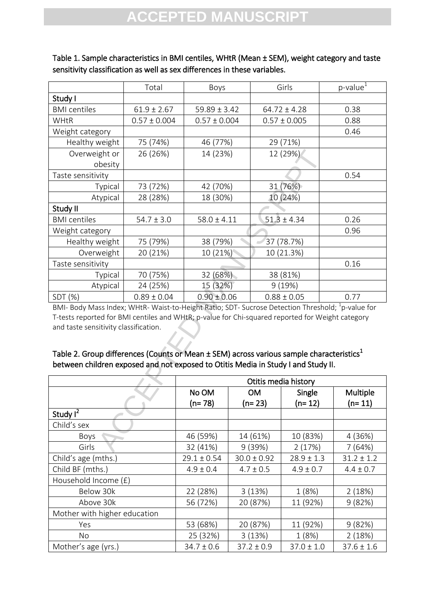|                                                                                                                                                                                                                                                                                                                                                                                                                                                         | Total            | Boys                                 |           | Girls            | $p$ -value $^{1}$ |  |
|---------------------------------------------------------------------------------------------------------------------------------------------------------------------------------------------------------------------------------------------------------------------------------------------------------------------------------------------------------------------------------------------------------------------------------------------------------|------------------|--------------------------------------|-----------|------------------|-------------------|--|
| Study I                                                                                                                                                                                                                                                                                                                                                                                                                                                 |                  |                                      |           |                  |                   |  |
| <b>BMI</b> centiles                                                                                                                                                                                                                                                                                                                                                                                                                                     | $61.9 \pm 2.67$  | $59.89 \pm 3.42$<br>$64.72 \pm 4.28$ |           |                  | 0.38              |  |
| <b>WHtR</b>                                                                                                                                                                                                                                                                                                                                                                                                                                             | $0.57 \pm 0.004$ | $0.57 \pm 0.004$                     |           | $0.57 \pm 0.005$ | 0.88              |  |
| Weight category                                                                                                                                                                                                                                                                                                                                                                                                                                         |                  |                                      |           |                  | 0.46              |  |
| Healthy weight                                                                                                                                                                                                                                                                                                                                                                                                                                          | 75 (74%)         | 46 (77%)                             |           | 29 (71%)         |                   |  |
| Overweight or                                                                                                                                                                                                                                                                                                                                                                                                                                           | 26 (26%)         | 14 (23%)                             |           | 12 (29%)         |                   |  |
| obesity                                                                                                                                                                                                                                                                                                                                                                                                                                                 |                  |                                      |           |                  |                   |  |
| Taste sensitivity                                                                                                                                                                                                                                                                                                                                                                                                                                       |                  |                                      |           |                  | 0.54              |  |
| Typical                                                                                                                                                                                                                                                                                                                                                                                                                                                 | 73 (72%)         | 42 (70%)                             |           | 31 (76%)         |                   |  |
| Atypical                                                                                                                                                                                                                                                                                                                                                                                                                                                | 28 (28%)         | 18 (30%)                             |           | 10 (24%)         |                   |  |
| Study II                                                                                                                                                                                                                                                                                                                                                                                                                                                |                  |                                      |           |                  |                   |  |
| <b>BMI</b> centiles                                                                                                                                                                                                                                                                                                                                                                                                                                     | $54.7 \pm 3.0$   | $58.0 \pm 4.11$                      |           | $51.3 \pm 4.34$  | 0.26              |  |
| Weight category                                                                                                                                                                                                                                                                                                                                                                                                                                         |                  |                                      |           |                  | 0.96              |  |
| Healthy weight                                                                                                                                                                                                                                                                                                                                                                                                                                          | 75 (79%)         | 38 (79%)                             |           | 37 (78.7%)       |                   |  |
| Overweight                                                                                                                                                                                                                                                                                                                                                                                                                                              | 20 (21%)         | 10 (21%)                             |           | 10 (21.3%)       |                   |  |
| Taste sensitivity                                                                                                                                                                                                                                                                                                                                                                                                                                       |                  |                                      |           |                  | 0.16              |  |
| Typical                                                                                                                                                                                                                                                                                                                                                                                                                                                 | 70 (75%)         | 32 (68%)<br>38 (81%)                 |           |                  |                   |  |
| Atypical                                                                                                                                                                                                                                                                                                                                                                                                                                                | 24 (25%)         | 15 (32%)                             |           | 9(19%)           |                   |  |
| SDT (%)                                                                                                                                                                                                                                                                                                                                                                                                                                                 | $0.89 \pm 0.04$  | $0.90 \pm 0.06$                      |           | $0.88 \pm 0.05$  | 0.77              |  |
| BMI- Body Mass Index; WHtR- Waist-to-Height Ratio; SDT- Sucrose Detection Threshold; <sup>1</sup> p-value for<br>T-tests reported for BMI centiles and WHtR; p-value for Chi-squared reported for Weight category<br>and taste sensitivity classification.<br>Table 2. Group differences (Counts or Mean ± SEM) across various sample characteristics <sup>1</sup><br>between children exposed and not exposed to Otitis Media in Study I and Study II. |                  |                                      |           |                  |                   |  |
| Otitis media history                                                                                                                                                                                                                                                                                                                                                                                                                                    |                  |                                      |           |                  |                   |  |
| No OM                                                                                                                                                                                                                                                                                                                                                                                                                                                   |                  |                                      | <b>OM</b> | Single           | Multiple          |  |
|                                                                                                                                                                                                                                                                                                                                                                                                                                                         |                  | $(n=78)$                             | $(n=23)$  | $(n=12)$         | $(n=11)$          |  |
| Study $\overline{I^2}$                                                                                                                                                                                                                                                                                                                                                                                                                                  |                  |                                      |           |                  |                   |  |
| Child's sex                                                                                                                                                                                                                                                                                                                                                                                                                                             |                  |                                      |           |                  |                   |  |
| Boys                                                                                                                                                                                                                                                                                                                                                                                                                                                    |                  | 46 (59%)                             | 14 (61%)  | 10 (83%)         | 4(36%)            |  |
| Girls                                                                                                                                                                                                                                                                                                                                                                                                                                                   |                  | 32 (41%)                             | 9 (39%)   | 2(17%)           | 7 (64%)           |  |

Table 1. Sample characteristics in BMI centiles, WHtR (Mean ± SEM), weight category and taste sensitivity classification as well as sex differences in these variables.

### Table 2. Group differences (Counts or Mean  $\pm$  SEM) across various sample characteristics<sup>1</sup> between children exposed and not exposed to Otitis Media in Study I and Study II.

|                              | Otitis media history |                 |                |                |
|------------------------------|----------------------|-----------------|----------------|----------------|
|                              | No OM                | <b>OM</b>       | Single         | Multiple       |
|                              | (n= 78)              | $(n=23)$        | $(n=12)$       | $(n=11)$       |
| Study $I^2$                  |                      |                 |                |                |
| Child's sex                  |                      |                 |                |                |
| Boys                         | 46 (59%)             | 14 (61%)        | 10 (83%)       | 4 (36%)        |
| Girls                        | 32 (41%)             | 9(39%)          | 2(17%)         | 7(64%)         |
| Child's age (mths.)          | $29.1 \pm 0.54$      | $30.0 \pm 0.92$ | $28.9 \pm 1.3$ | $31.2 \pm 1.2$ |
| Child BF (mths.)             | $4.9 \pm 0.4$        | $4.7 \pm 0.5$   | $4.9 \pm 0.7$  | $4.4 \pm 0.7$  |
| Household Income (£)         |                      |                 |                |                |
| Below 30k                    | 22 (28%)             | 3(13%)          | 1(8%)          | 2(18%)         |
| Above 30k                    | 56 (72%)             | 20 (87%)        | 11 (92%)       | 9(82%)         |
| Mother with higher education |                      |                 |                |                |
| Yes                          | 53 (68%)             | 20 (87%)        | 11 (92%)       | 9(82%)         |
| No.                          | 25 (32%)             | 3(13%)          | 1(8%)          | 2(18%)         |
| Mother's age (yrs.)          | $34.7 \pm 0.6$       | $37.2 \pm 0.9$  | $37.0 \pm 1.0$ | $37.6 \pm 1.6$ |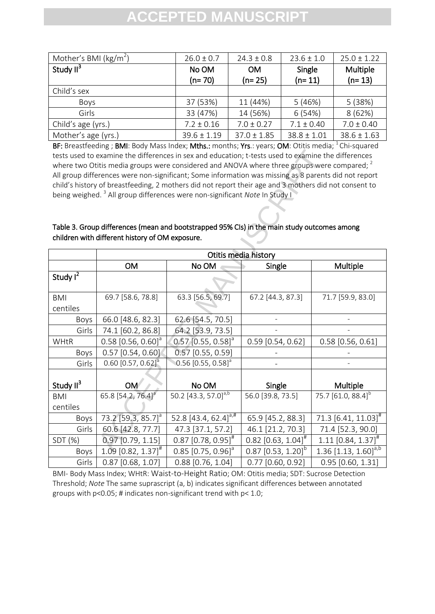| Mother's BMI ( $\text{kg/m}^2$ ) | $26.0 \pm 0.7$  | $24.3 \pm 0.8$  | $23.6 \pm 1.0$  | $25.0 \pm 1.22$ |
|----------------------------------|-----------------|-----------------|-----------------|-----------------|
| Study II <sup>3</sup>            | No OM           | <b>OM</b>       | Single          | <b>Multiple</b> |
|                                  | $(n=70)$        | $(n=25)$        | $(n=11)$        | $(n=13)$        |
| Child's sex                      |                 |                 |                 |                 |
| <b>Boys</b>                      | 37 (53%)        | 11 (44%)        | 5(46%)          | 5(38%)          |
| Girls                            | 33 (47%)        | 14 (56%)        | 6(54%)          | 8(62%)          |
| Child's age (yrs.)               | $7.2 \pm 0.16$  | $7.0 \pm 0.27$  | $7.1 \pm 0.40$  | $7.0 \pm 0.40$  |
| Mother's age (yrs.)              | $39.6 \pm 1.19$ | $37.0 \pm 1.85$ | $38.8 \pm 1.01$ | $38.6 \pm 1.63$ |

BF: Breastfeeding ; BMI: Body Mass Index; Mths.: months; Yrs.: years; OM: Otitis media; <sup>1</sup> Chi-squared tests used to examine the differences in sex and education; t-tests used to examine the differences where two Otitis media groups were considered and ANOVA where three groups were compared;  $^2$ All group differences were non-significant; Some information was missing as 8 parents did not report child's history of breastfeeding, 2 mothers did not report their age and 3 mothers did not consent to being weighed. <sup>3</sup> All group differences were non-significant *Note* In Study I

### Table 3. Group differences (mean and bootstrapped 95% CIs) in the main study outcomes among children with different history of OM exposure.

| tests used to examine the differences in sex and education; t-tests used to examine the differences<br>where two Otitis media groups were considered and ANOVA where three groups were compared; <sup>2</sup><br>All group differences were non-significant; Some information was missing as 8 parents did not report<br>child's history of breastfeeding, 2 mothers did not report their age and 3 mothers did not consent to<br>being weighed. <sup>3</sup> All group differences were non-significant Note In Study I<br>Table 3. Group differences (mean and bootstrapped 95% CIs) in the main study outcomes among<br>children with different history of OM exposure. |                                  |                                      |                                  |                                   |  |
|----------------------------------------------------------------------------------------------------------------------------------------------------------------------------------------------------------------------------------------------------------------------------------------------------------------------------------------------------------------------------------------------------------------------------------------------------------------------------------------------------------------------------------------------------------------------------------------------------------------------------------------------------------------------------|----------------------------------|--------------------------------------|----------------------------------|-----------------------------------|--|
|                                                                                                                                                                                                                                                                                                                                                                                                                                                                                                                                                                                                                                                                            | Otitis media history             |                                      |                                  |                                   |  |
|                                                                                                                                                                                                                                                                                                                                                                                                                                                                                                                                                                                                                                                                            | <b>OM</b>                        | No OM                                | Single                           | Multiple                          |  |
| Study I <sup>2</sup>                                                                                                                                                                                                                                                                                                                                                                                                                                                                                                                                                                                                                                                       |                                  |                                      |                                  |                                   |  |
| <b>BMI</b>                                                                                                                                                                                                                                                                                                                                                                                                                                                                                                                                                                                                                                                                 | 69.7 [58.6, 78.8]                | 63.3 [56.5, 69.7]                    | 67.2 [44.3, 87.3]                | 71.7 [59.9, 83.0]                 |  |
| centiles                                                                                                                                                                                                                                                                                                                                                                                                                                                                                                                                                                                                                                                                   |                                  |                                      |                                  |                                   |  |
| Boys                                                                                                                                                                                                                                                                                                                                                                                                                                                                                                                                                                                                                                                                       | 66.0 [48.6, 82.3]                | 62.6 [54.5, 70.5]                    |                                  |                                   |  |
| Girls                                                                                                                                                                                                                                                                                                                                                                                                                                                                                                                                                                                                                                                                      | 74.1 [60.2, 86.8]                | 64.2 [53.9, 73.5]                    |                                  |                                   |  |
| <b>WHtR</b>                                                                                                                                                                                                                                                                                                                                                                                                                                                                                                                                                                                                                                                                | $0.58$ [0.56, 0.60] <sup>a</sup> | $[0.57]$ $[0.55, 0.58]$ <sup>a</sup> | $0.59$ [0.54, 0.62]              | $0.58$ [0.56, 0.61]               |  |
| Boys                                                                                                                                                                                                                                                                                                                                                                                                                                                                                                                                                                                                                                                                       | $0.57$ [0.54, 0.60]              | $0.57$ [0.55, 0.59]                  |                                  |                                   |  |
| Girls                                                                                                                                                                                                                                                                                                                                                                                                                                                                                                                                                                                                                                                                      | $0.60$ [0.57, 0.62] <sup>a</sup> | $0.56$ [0.55, 0.58] <sup>a</sup>     |                                  |                                   |  |
| Study II <sup>3</sup>                                                                                                                                                                                                                                                                                                                                                                                                                                                                                                                                                                                                                                                      | <b>OM</b>                        | No OM                                | Single                           | Multiple                          |  |
| <b>BMI</b>                                                                                                                                                                                                                                                                                                                                                                                                                                                                                                                                                                                                                                                                 | 65.8 [54.2, 76.4] <sup>a</sup>   | 50.2 [43.3, 57.0] <sup>a,b</sup>     | 56.0 [39.8, 73.5]                | 75.7 [61.0, 88.4] <sup>b</sup>    |  |
| centiles                                                                                                                                                                                                                                                                                                                                                                                                                                                                                                                                                                                                                                                                   |                                  |                                      |                                  |                                   |  |
| Boys                                                                                                                                                                                                                                                                                                                                                                                                                                                                                                                                                                                                                                                                       | 73.2 [59.3, 85.7] <sup>a</sup>   | 52.8 [43.4, 62.4] $a,#$              | 65.9 [45.2, 88.3]                | 71.3 $[6.41, 11.03]$ <sup>#</sup> |  |
| Girls                                                                                                                                                                                                                                                                                                                                                                                                                                                                                                                                                                                                                                                                      | 60.6 [42.8, 77.7]                | 47.3 [37.1, 57.2]                    | 46.1 [21.2, 70.3]                | 71.4 [52.3, 90.0]                 |  |
| SDT (%)                                                                                                                                                                                                                                                                                                                                                                                                                                                                                                                                                                                                                                                                    | 0.97 [0.79, 1.15]                | $0.87$ [0.78, 0.95] <sup>#</sup>     | $0.82$ [0.63, 1.04] <sup>#</sup> | $1.11$ [0.84, 1.37] <sup>#</sup>  |  |
| Boys                                                                                                                                                                                                                                                                                                                                                                                                                                                                                                                                                                                                                                                                       | $1.09$ [0.82, 1.37] <sup>#</sup> | $0.85$ [0.75, 0.96] <sup>a</sup>     | $0.87$ [0.53, 1.20] <sup>b</sup> | 1.36 [1.13, 1.60] <sup>a,b</sup>  |  |
| Girls                                                                                                                                                                                                                                                                                                                                                                                                                                                                                                                                                                                                                                                                      | $0.87$ [0.68, 1.07]              | $0.88$ [0.76, 1.04]                  | $0.77$ [0.60, 0.92]              | $0.95$ [0.60, 1.31]               |  |

BMI- Body Mass Index; WHtR: Waist-to-Height Ratio; OM: Otitis media; SDT: Sucrose Detection Threshold; *Note* The same suprascript (a, b) indicates significant differences between annotated groups with p<0.05; # indicates non-significant trend with p< 1.0;